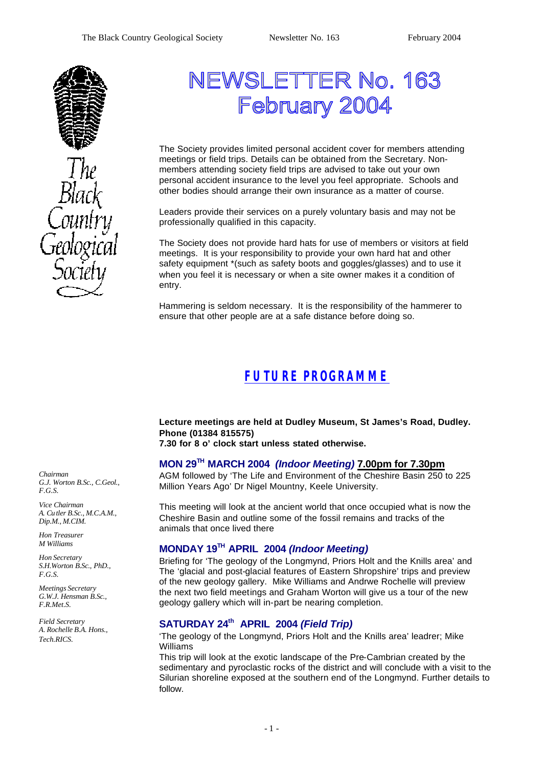

# NEWSLETTER No. 163 February 2004

The Society provides limited personal accident cover for members attending meetings or field trips. Details can be obtained from the Secretary. Nonmembers attending society field trips are advised to take out your own personal accident insurance to the level you feel appropriate. Schools and other bodies should arrange their own insurance as a matter of course.

Leaders provide their services on a purely voluntary basis and may not be professionally qualified in this capacity.

The Society does not provide hard hats for use of members or visitors at field meetings. It is your responsibility to provide your own hard hat and other safety equipment \*(such as safety boots and goggles/glasses) and to use it when you feel it is necessary or when a site owner makes it a condition of entry.

Hammering is seldom necessary. It is the responsibility of the hammerer to ensure that other people are at a safe distance before doing so.

## *FUTURE PROGRAMME*

**Lecture meetings are held at Dudley Museum, St James's Road, Dudley. Phone (01384 815575)**

### **7.30 for 8 o' clock start unless stated otherwise.**

### **MON 29TH MARCH 2004** *(Indoor Meeting)* **7.00pm for 7.30pm**

AGM followed by 'The Life and Environment of the Cheshire Basin 250 to 225 Million Years Ago' Dr Nigel Mountny, Keele University.

This meeting will look at the ancient world that once occupied what is now the Cheshire Basin and outline some of the fossil remains and tracks of the animals that once lived there

#### **MONDAY 19TH APRIL 2004** *(Indoor Meeting)*

Briefing for 'The geology of the Longmynd, Priors Holt and the Knills area' and The 'glacial and post-glacial features of Eastern Shropshire' trips and preview of the new geology gallery. Mike Williams and Andrwe Rochelle will preview the next two field meetings and Graham Worton will give us a tour of the new geology gallery which will in-part be nearing completion.

## **SATURDAY 24th APRIL 2004** *(Field Trip)*

'The geology of the Longmynd, Priors Holt and the Knills area' leadrer; Mike Williams

This trip will look at the exotic landscape of the Pre-Cambrian created by the sedimentary and pyroclastic rocks of the district and will conclude with a visit to the Silurian shoreline exposed at the southern end of the Longmynd. Further details to follow.

*Chairman G.J. Worton B.Sc., C.Geol., F.G.S.*

*Vice Chairman A. Cu tler B.Sc., M.C.A.M., Dip.M., M.CIM.*

*Hon Treasurer M Williams* 

*Hon Secretary S.H.Worton B.Sc., PhD., F.G.S.*

*Meetings Secretary G.W.J. Hensman B.Sc., F.R.Met.S.*

*Field Secretary A. Rochelle B.A. Hons., Tech.RICS.*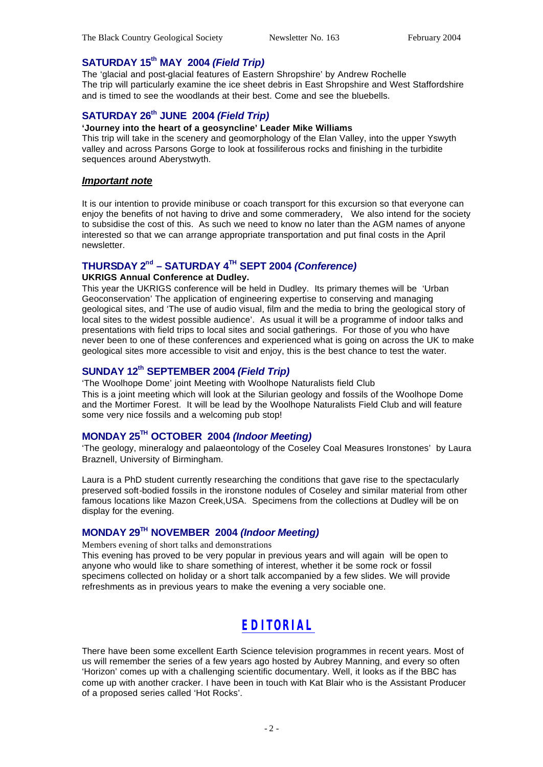### **SATURDAY 15th MAY 2004** *(Field Trip)*

The 'glacial and post-glacial features of Eastern Shropshire' by Andrew Rochelle The trip will particularly examine the ice sheet debris in East Shropshire and West Staffordshire and is timed to see the woodlands at their best. Come and see the bluebells.

## **SATURDAY 26th JUNE 2004** *(Field Trip)*

#### **'Journey into the heart of a geosyncline' Leader Mike Williams**

This trip will take in the scenery and geomorphology of the Elan Valley, into the upper Yswyth valley and across Parsons Gorge to look at fossiliferous rocks and finishing in the turbidite sequences around Aberystwyth.

#### *Important note*

It is our intention to provide minibuse or coach transport for this excursion so that everyone can enjoy the benefits of not having to drive and some commeradery, We also intend for the society to subsidise the cost of this. As such we need to know no later than the AGM names of anyone interested so that we can arrange appropriate transportation and put final costs in the April newsletter.

#### **THURSDAY 2nd – SATURDAY 4TH SEPT 2004** *(Conference)*

#### **UKRIGS Annual Conference at Dudley.**

This year the UKRIGS conference will be held in Dudley. Its primary themes will be 'Urban Geoconservation' The application of engineering expertise to conserving and managing geological sites, and 'The use of audio visual, film and the media to bring the geological story of local sites to the widest possible audience'. As usual it will be a programme of indoor talks and presentations with field trips to local sites and social gatherings. For those of you who have never been to one of these conferences and experienced what is going on across the UK to make geological sites more accessible to visit and enjoy, this is the best chance to test the water.

### **SUNDAY 12th SEPTEMBER 2004** *(Field Trip)*

'The Woolhope Dome' joint Meeting with Woolhope Naturalists field Club This is a joint meeting which will look at the Silurian geology and fossils of the Woolhope Dome and the Mortimer Forest. It will be lead by the Woolhope Naturalists Field Club and will feature some very nice fossils and a welcoming pub stop!

### **MONDAY 25TH OCTOBER 2004** *(Indoor Meeting)*

'The geology, mineralogy and palaeontology of the Coseley Coal Measures Ironstones' by Laura Braznell, University of Birmingham.

Laura is a PhD student currently researching the conditions that gave rise to the spectacularly preserved soft-bodied fossils in the ironstone nodules of Coseley and similar material from other famous locations like Mazon Creek,USA. Specimens from the collections at Dudley will be on display for the evening.

### **MONDAY 29TH NOVEMBER 2004** *(Indoor Meeting)*

Members evening of short talks and demonstrations

This evening has proved to be very popular in previous years and will again will be open to anyone who would like to share something of interest, whether it be some rock or fossil specimens collected on holiday or a short talk accompanied by a few slides. We will provide refreshments as in previous years to make the evening a very sociable one.

## *EDITORIAL*

There have been some excellent Earth Science television programmes in recent years. Most of us will remember the series of a few years ago hosted by Aubrey Manning, and every so often 'Horizon' comes up with a challenging scientific documentary. Well, it looks as if the BBC has come up with another cracker. I have been in touch with Kat Blair who is the Assistant Producer of a proposed series called 'Hot Rocks'.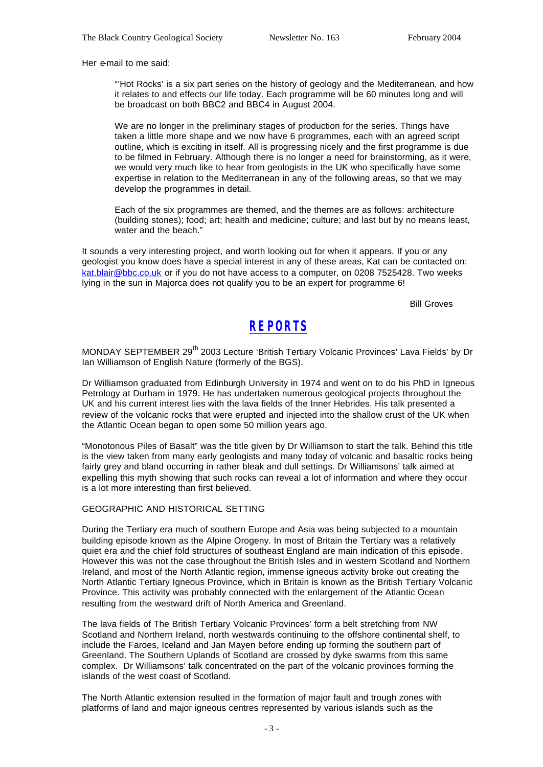Her e-mail to me said:

"'Hot Rocks' is a six part series on the history of geology and the Mediterranean, and how it relates to and effects our life today. Each programme will be 60 minutes long and will be broadcast on both BBC2 and BBC4 in August 2004.

We are no longer in the preliminary stages of production for the series. Things have taken a little more shape and we now have 6 programmes, each with an agreed script outline, which is exciting in itself. All is progressing nicely and the first programme is due to be filmed in February. Although there is no longer a need for brainstorming, as it were, we would very much like to hear from geologists in the UK who specifically have some expertise in relation to the Mediterranean in any of the following areas, so that we may develop the programmes in detail.

Each of the six programmes are themed, and the themes are as follows: architecture (building stones); food; art; health and medicine; culture; and last but by no means least, water and the beach."

It sounds a very interesting project, and worth looking out for when it appears. If you or any geologist you know does have a special interest in any of these areas, Kat can be contacted on: kat.blair@bbc.co.uk or if you do not have access to a computer, on 0208 7525428. Two weeks lying in the sun in Majorca does not qualify you to be an expert for programme 6!

Bill Groves

## *REPORTS*

MONDAY SEPTEMBER 29<sup>th</sup> 2003 Lecture 'British Tertiary Volcanic Provinces' Lava Fields' by Dr Ian Williamson of English Nature (formerly of the BGS).

Dr Williamson graduated from Edinburgh University in 1974 and went on to do his PhD in Igneous Petrology at Durham in 1979. He has undertaken numerous geological projects throughout the UK and his current interest lies with the lava fields of the Inner Hebrides. His talk presented a review of the volcanic rocks that were erupted and injected into the shallow crust of the UK when the Atlantic Ocean began to open some 50 million years ago.

"Monotonous Piles of Basalt" was the title given by Dr Williamson to start the talk. Behind this title is the view taken from many early geologists and many today of volcanic and basaltic rocks being fairly grey and bland occurring in rather bleak and dull settings. Dr Williamsons' talk aimed at expelling this myth showing that such rocks can reveal a lot of information and where they occur is a lot more interesting than first believed.

#### GEOGRAPHIC AND HISTORICAL SETTING

During the Tertiary era much of southern Europe and Asia was being subjected to a mountain building episode known as the Alpine Orogeny. In most of Britain the Tertiary was a relatively quiet era and the chief fold structures of southeast England are main indication of this episode. However this was not the case throughout the British Isles and in western Scotland and Northern Ireland, and most of the North Atlantic region, immense igneous activity broke out creating the North Atlantic Tertiary Igneous Province, which in Britain is known as the British Tertiary Volcanic Province. This activity was probably connected with the enlargement of the Atlantic Ocean resulting from the westward drift of North America and Greenland.

The lava fields of The British Tertiary Volcanic Provinces' form a belt stretching from NW Scotland and Northern Ireland, north westwards continuing to the offshore continental shelf, to include the Faroes, Iceland and Jan Mayen before ending up forming the southern part of Greenland. The Southern Uplands of Scotland are crossed by dyke swarms from this same complex. Dr Williamsons' talk concentrated on the part of the volcanic provinces forming the islands of the west coast of Scotland.

The North Atlantic extension resulted in the formation of major fault and trough zones with platforms of land and major igneous centres represented by various islands such as the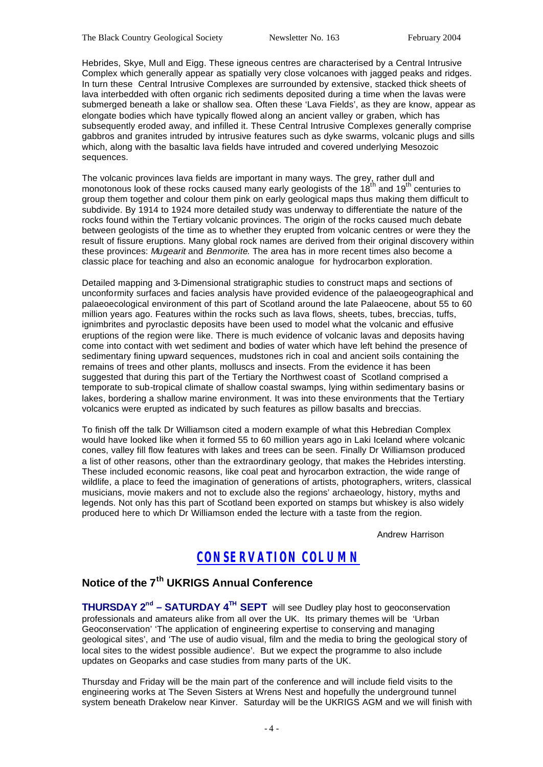Hebrides, Skye, Mull and Eigg. These igneous centres are characterised by a Central Intrusive Complex which generally appear as spatially very close volcanoes with jagged peaks and ridges. In turn these Central Intrusive Complexes are surrounded by extensive, stacked thick sheets of lava interbedded with often organic rich sediments deposited during a time when the lavas were submerged beneath a lake or shallow sea. Often these 'Lava Fields', as they are know, appear as elongate bodies which have typically flowed along an ancient valley or graben, which has subsequently eroded away, and infilled it. These Central Intrusive Complexes generally comprise gabbros and granites intruded by intrusive features such as dyke swarms, volcanic plugs and sills which, along with the basaltic lava fields have intruded and covered underlying Mesozoic sequences.

The volcanic provinces lava fields are important in many ways. The grey, rather dull and monotonous look of these rocks caused many early geologists of the 18<sup>th</sup> and 19<sup>th</sup> centuries to group them together and colour them pink on early geological maps thus making them difficult to subdivide. By 1914 to 1924 more detailed study was underway to differentiate the nature of the rocks found within the Tertiary volcanic provinces. The origin of the rocks caused much debate between geologists of the time as to whether they erupted from volcanic centres or were they the result of fissure eruptions. Many global rock names are derived from their original discovery within these provinces: *Mugearit* and *Benmorite*. The area has in more recent times also become a classic place for teaching and also an economic analogue for hydrocarbon exploration.

Detailed mapping and 3-Dimensional stratigraphic studies to construct maps and sections of unconformity surfaces and facies analysis have provided evidence of the palaeogeographical and palaeoecological environment of this part of Scotland around the late Palaeocene, about 55 to 60 million years ago. Features within the rocks such as lava flows, sheets, tubes, breccias, tuffs, ignimbrites and pyroclastic deposits have been used to model what the volcanic and effusive eruptions of the region were like. There is much evidence of volcanic lavas and deposits having come into contact with wet sediment and bodies of water which have left behind the presence of sedimentary fining upward sequences, mudstones rich in coal and ancient soils containing the remains of trees and other plants, molluscs and insects. From the evidence it has been suggested that during this part of the Tertiary the Northwest coast of Scotland comprised a temporate to sub-tropical climate of shallow coastal swamps, lying within sedimentary basins or lakes, bordering a shallow marine environment. It was into these environments that the Tertiary volcanics were erupted as indicated by such features as pillow basalts and breccias.

To finish off the talk Dr Williamson cited a modern example of what this Hebredian Complex would have looked like when it formed 55 to 60 million years ago in Laki Iceland where volcanic cones, valley fill flow features with lakes and trees can be seen. Finally Dr Williamson produced a list of other reasons, other than the extraordinary geology, that makes the Hebrides intersting. These included economic reasons, like coal peat and hyrocarbon extraction, the wide range of wildlife, a place to feed the imagination of generations of artists, photographers, writers, classical musicians, movie makers and not to exclude also the regions' archaeology, history, myths and legends. Not only has this part of Scotland been exported on stamps but whiskey is also widely produced here to which Dr Williamson ended the lecture with a taste from the region.

Andrew Harrison

## *CONSERVATION COLUMN*

### **Notice of the 7th UKRIGS Annual Conference**

**THURSDAY 2nd – SATURDAY 4TH SEPT** will see Dudley play host to geoconservation professionals and amateurs alike from all over the UK. Its primary themes will be 'Urban Geoconservation' 'The application of engineering expertise to conserving and managing geological sites', and 'The use of audio visual, film and the media to bring the geological story of local sites to the widest possible audience'. But we expect the programme to also include updates on Geoparks and case studies from many parts of the UK.

Thursday and Friday will be the main part of the conference and will include field visits to the engineering works at The Seven Sisters at Wrens Nest and hopefully the underground tunnel system beneath Drakelow near Kinver. Saturday will be the UKRIGS AGM and we will finish with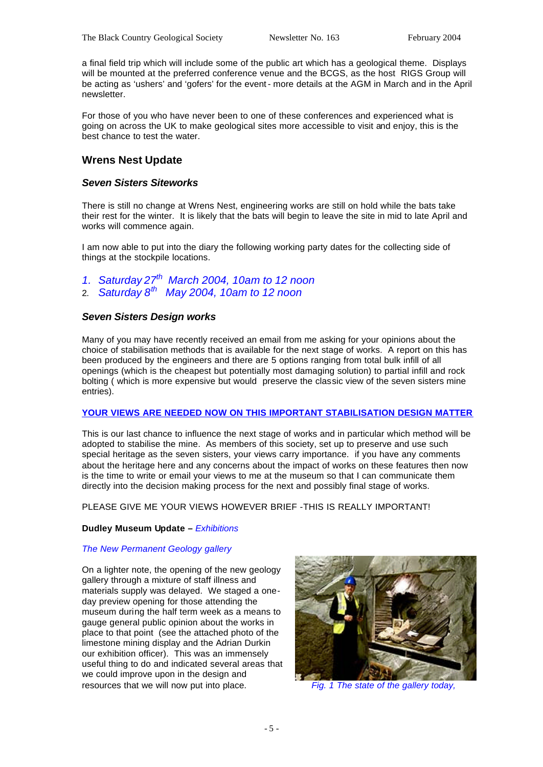a final field trip which will include some of the public art which has a geological theme. Displays will be mounted at the preferred conference venue and the BCGS, as the host RIGS Group will be acting as 'ushers' and 'gofers' for the event- more details at the AGM in March and in the April newsletter.

For those of you who have never been to one of these conferences and experienced what is going on across the UK to make geological sites more accessible to visit and enjoy, this is the best chance to test the water.

#### **Wrens Nest Update**

#### *Seven Sisters Siteworks*

There is still no change at Wrens Nest, engineering works are still on hold while the bats take their rest for the winter. It is likely that the bats will begin to leave the site in mid to late April and works will commence again.

I am now able to put into the diary the following working party dates for the collecting side of things at the stockpile locations.

- *1. Saturday 27th March 2004, 10am to 12 noon*
- 2. *Saturday 8th May 2004, 10am to 12 noon*

#### *Seven Sisters Design works*

Many of you may have recently received an email from me asking for your opinions about the choice of stabilisation methods that is available for the next stage of works. A report on this has been produced by the engineers and there are 5 options ranging from total bulk infill of all openings (which is the cheapest but potentially most damaging solution) to partial infill and rock bolting ( which is more expensive but would preserve the classic view of the seven sisters mine entries).

#### **YOUR VIEWS ARE NEEDED NOW ON THIS IMPORTANT STABILISATION DESIGN MATTER**

This is our last chance to influence the next stage of works and in particular which method will be adopted to stabilise the mine. As members of this society, set up to preserve and use such special heritage as the seven sisters, your views carry importance. if you have any comments about the heritage here and any concerns about the impact of works on these features then now is the time to write or email your views to me at the museum so that I can communicate them directly into the decision making process for the next and possibly final stage of works.

PLEASE GIVE ME YOUR VIEWS HOWEVER BRIEF -THIS IS REALLY IMPORTANT!

#### **Dudley Museum Update –** *Exhibitions*

#### *The New Permanent Geology gallery*

On a lighter note, the opening of the new geology gallery through a mixture of staff illness and materials supply was delayed. We staged a oneday preview opening for those attending the museum during the half term week as a means to gauge general public opinion about the works in place to that point (see the attached photo of the limestone mining display and the Adrian Durkin our exhibition officer). This was an immensely useful thing to do and indicated several areas that we could improve upon in the design and resources that we will now put into place. *Fig. 1 The state of the gallery today,*

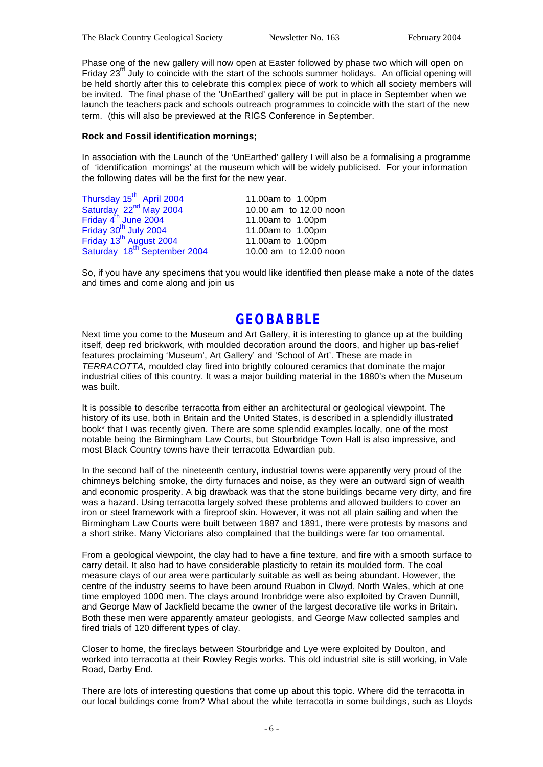Phase one of the new gallery will now open at Easter followed by phase two which will open on Friday 23<sup>rd</sup> July to coincide with the start of the schools summer holidays. An official opening will be held shortly after this to celebrate this complex piece of work to which all society members will be invited. The final phase of the 'UnEarthed' gallery will be put in place in September when we launch the teachers pack and schools outreach programmes to coincide with the start of the new term. (this will also be previewed at the RIGS Conference in September.

#### **Rock and Fossil identification mornings;**

In association with the Launch of the 'UnEarthed' gallery I will also be a formalising a programme of 'identification mornings' at the museum which will be widely publicised. For your information the following dates will be the first for the new year.

| Thursday 15 <sup>th</sup> April 2004                                                          | 11.00am to 1.00pm      |  |
|-----------------------------------------------------------------------------------------------|------------------------|--|
| Saturday $22^{nd}$ May 2004<br>Friday $4^{th}$ June 2004<br>Friday 30 <sup>th</sup> July 2004 | 10.00 am to 12.00 noon |  |
|                                                                                               | 11.00am to 1.00pm      |  |
|                                                                                               | 11.00am to 1.00pm      |  |
| Friday 13 <sup>th</sup> August 2004<br>Saturday 18 <sup>th</sup> September 2004               | 11.00am to 1.00pm      |  |
|                                                                                               | 10.00 am to 12.00 noon |  |

So, if you have any specimens that you would like identified then please make a note of the dates and times and come along and join us

## **GEOBABBLE**

Next time you come to the Museum and Art Gallery, it is interesting to glance up at the building itself, deep red brickwork, with moulded decoration around the doors, and higher up bas-relief features proclaiming 'Museum', Art Gallery' and 'School of Art'. These are made in *TERRACOTTA,* moulded clay fired into brightly coloured ceramics that dominate the major industrial cities of this country. It was a major building material in the 1880's when the Museum was built.

It is possible to describe terracotta from either an architectural or geological viewpoint. The history of its use, both in Britain and the United States, is described in a splendidly illustrated book\* that I was recently given. There are some splendid examples locally, one of the most notable being the Birmingham Law Courts, but Stourbridge Town Hall is also impressive, and most Black Country towns have their terracotta Edwardian pub.

In the second half of the nineteenth century, industrial towns were apparently very proud of the chimneys belching smoke, the dirty furnaces and noise, as they were an outward sign of wealth and economic prosperity. A big drawback was that the stone buildings became very dirty, and fire was a hazard. Using terracotta largely solved these problems and allowed builders to cover an iron or steel framework with a fireproof skin. However, it was not all plain sailing and when the Birmingham Law Courts were built between 1887 and 1891, there were protests by masons and a short strike. Many Victorians also complained that the buildings were far too ornamental.

From a geological viewpoint, the clay had to have a fine texture, and fire with a smooth surface to carry detail. It also had to have considerable plasticity to retain its moulded form. The coal measure clays of our area were particularly suitable as well as being abundant. However, the centre of the industry seems to have been around Ruabon in Clwyd, North Wales, which at one time employed 1000 men. The clays around Ironbridge were also exploited by Craven Dunnill, and George Maw of Jackfield became the owner of the largest decorative tile works in Britain. Both these men were apparently amateur geologists, and George Maw collected samples and fired trials of 120 different types of clay.

Closer to home, the fireclays between Stourbridge and Lye were exploited by Doulton, and worked into terracotta at their Rowley Regis works. This old industrial site is still working, in Vale Road, Darby End.

There are lots of interesting questions that come up about this topic. Where did the terracotta in our local buildings come from? What about the white terracotta in some buildings, such as Lloyds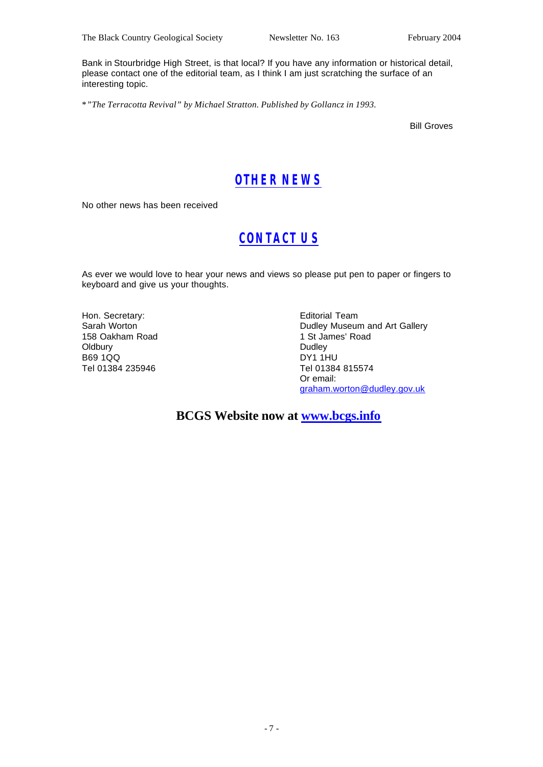Bank in Stourbridge High Street, is that local? If you have any information or historical detail, please contact one of the editorial team, as I think I am just scratching the surface of an interesting topic.

\**"The Terracotta Revival" by Michael Stratton. Published by Gollancz in 1993.*

Bill Groves

## *OTHER NEWS*

No other news has been received

## *CONTACT US*

As ever we would love to hear your news and views so please put pen to paper or fingers to keyboard and give us your thoughts.

Hon. Secretary: Sarah Worton 158 Oakham Road **Oldbury** B69 1QQ Tel 01384 235946

Editorial Team Dudley Museum and Art Gallery 1 St James' Road Dudley DY1 1HU Tel 01384 815574 Or email: graham.worton@dudley.gov.uk

**BCGS Website now at www.bcgs.info**